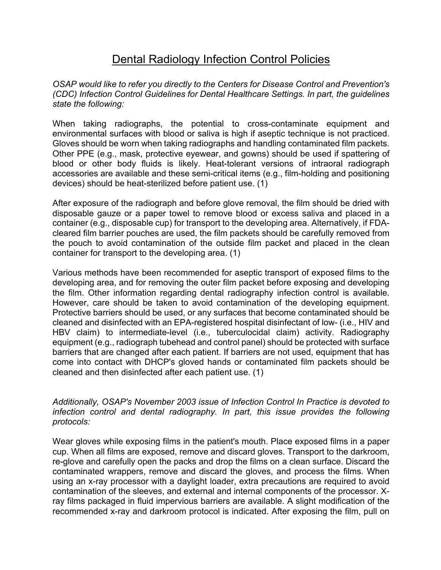# Dental Radiology Infection Control Policies

*OSAP would like to refer you directly to the Centers for Disease Control and Prevention's (CDC) Infection Control Guidelines for Dental Healthcare Settings. In part, the guidelines state the following:*

When taking radiographs, the potential to cross-contaminate equipment and environmental surfaces with blood or saliva is high if aseptic technique is not practiced. Gloves should be worn when taking radiographs and handling contaminated film packets. Other PPE (e.g., mask, protective eyewear, and gowns) should be used if spattering of blood or other body fluids is likely. Heat-tolerant versions of intraoral radiograph accessories are available and these semi-critical items (e.g., film-holding and positioning devices) should be heat-sterilized before patient use. (1)

After exposure of the radiograph and before glove removal, the film should be dried with disposable gauze or a paper towel to remove blood or excess saliva and placed in a container (e.g., disposable cup) for transport to the developing area. Alternatively, if FDAcleared film barrier pouches are used, the film packets should be carefully removed from the pouch to avoid contamination of the outside film packet and placed in the clean container for transport to the developing area. (1)

Various methods have been recommended for aseptic transport of exposed films to the developing area, and for removing the outer film packet before exposing and developing the film. Other information regarding dental radiography infection control is available. However, care should be taken to avoid contamination of the developing equipment. Protective barriers should be used, or any surfaces that become contaminated should be cleaned and disinfected with an EPA-registered hospital disinfectant of low- (i.e., HIV and HBV claim) to intermediate-level (i.e., tuberculocidal claim) activity. Radiography equipment (e.g., radiograph tubehead and control panel) should be protected with surface barriers that are changed after each patient. If barriers are not used, equipment that has come into contact with DHCP's gloved hands or contaminated film packets should be cleaned and then disinfected after each patient use. (1)

## *Additionally, OSAP's November 2003 issue of Infection Control In Practice is devoted to infection control and dental radiography. In part, this issue provides the following protocols:*

Wear gloves while exposing films in the patient's mouth. Place exposed films in a paper cup. When all films are exposed, remove and discard gloves. Transport to the darkroom, re-glove and carefully open the packs and drop the films on a clean surface. Discard the contaminated wrappers, remove and discard the gloves, and process the films. When using an x-ray processor with a daylight loader, extra precautions are required to avoid contamination of the sleeves, and external and internal components of the processor. Xray films packaged in fluid impervious barriers are available. A slight modification of the recommended x-ray and darkroom protocol is indicated. After exposing the film, pull on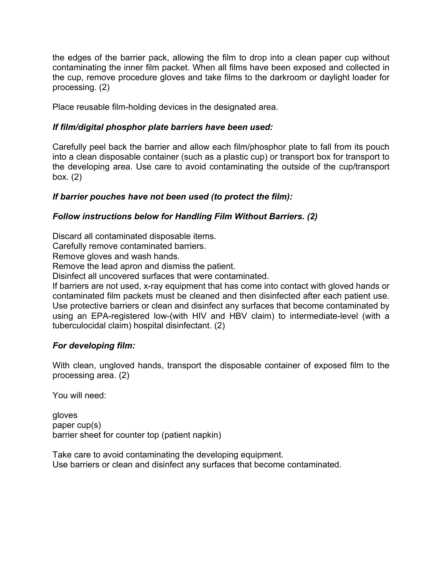the edges of the barrier pack, allowing the film to drop into a clean paper cup without contaminating the inner film packet. When all films have been exposed and collected in the cup, remove procedure gloves and take films to the darkroom or daylight loader for processing. (2)

Place reusable film-holding devices in the designated area.

## *If film/digital phosphor plate barriers have been used:*

Carefully peel back the barrier and allow each film/phosphor plate to fall from its pouch into a clean disposable container (such as a plastic cup) or transport box for transport to the developing area. Use care to avoid contaminating the outside of the cup/transport box. (2)

## *If barrier pouches have not been used (to protect the film):*

## *Follow instructions below for Handling Film Without Barriers. (2)*

Discard all contaminated disposable items.

Carefully remove contaminated barriers.

Remove gloves and wash hands.

Remove the lead apron and dismiss the patient.

Disinfect all uncovered surfaces that were contaminated.

If barriers are not used, x-ray equipment that has come into contact with gloved hands or contaminated film packets must be cleaned and then disinfected after each patient use. Use protective barriers or clean and disinfect any surfaces that become contaminated by using an EPA-registered low-(with HIV and HBV claim) to intermediate-level (with a tuberculocidal claim) hospital disinfectant. (2)

#### *For developing film:*

With clean, ungloved hands, transport the disposable container of exposed film to the processing area. (2)

You will need:

gloves paper cup(s) barrier sheet for counter top (patient napkin)

Take care to avoid contaminating the developing equipment. Use barriers or clean and disinfect any surfaces that become contaminated.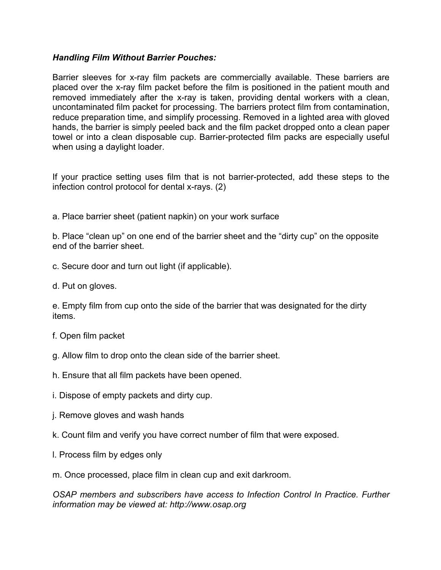#### *Handling Film Without Barrier Pouches:*

Barrier sleeves for x-ray film packets are commercially available. These barriers are placed over the x-ray film packet before the film is positioned in the patient mouth and removed immediately after the x-ray is taken, providing dental workers with a clean, uncontaminated film packet for processing. The barriers protect film from contamination, reduce preparation time, and simplify processing. Removed in a lighted area with gloved hands, the barrier is simply peeled back and the film packet dropped onto a clean paper towel or into a clean disposable cup. Barrier-protected film packs are especially useful when using a daylight loader.

If your practice setting uses film that is not barrier-protected, add these steps to the infection control protocol for dental x-rays. (2)

a. Place barrier sheet (patient napkin) on your work surface

b. Place "clean up" on one end of the barrier sheet and the "dirty cup" on the opposite end of the barrier sheet.

- c. Secure door and turn out light (if applicable).
- d. Put on gloves.

e. Empty film from cup onto the side of the barrier that was designated for the dirty items.

- f. Open film packet
- g. Allow film to drop onto the clean side of the barrier sheet.
- h. Ensure that all film packets have been opened.
- i. Dispose of empty packets and dirty cup.
- j. Remove gloves and wash hands
- k. Count film and verify you have correct number of film that were exposed.
- l. Process film by edges only

m. Once processed, place film in clean cup and exit darkroom.

*OSAP members and subscribers have access to Infection Control In Practice. Further information may be viewed at: http://www.osap.org*